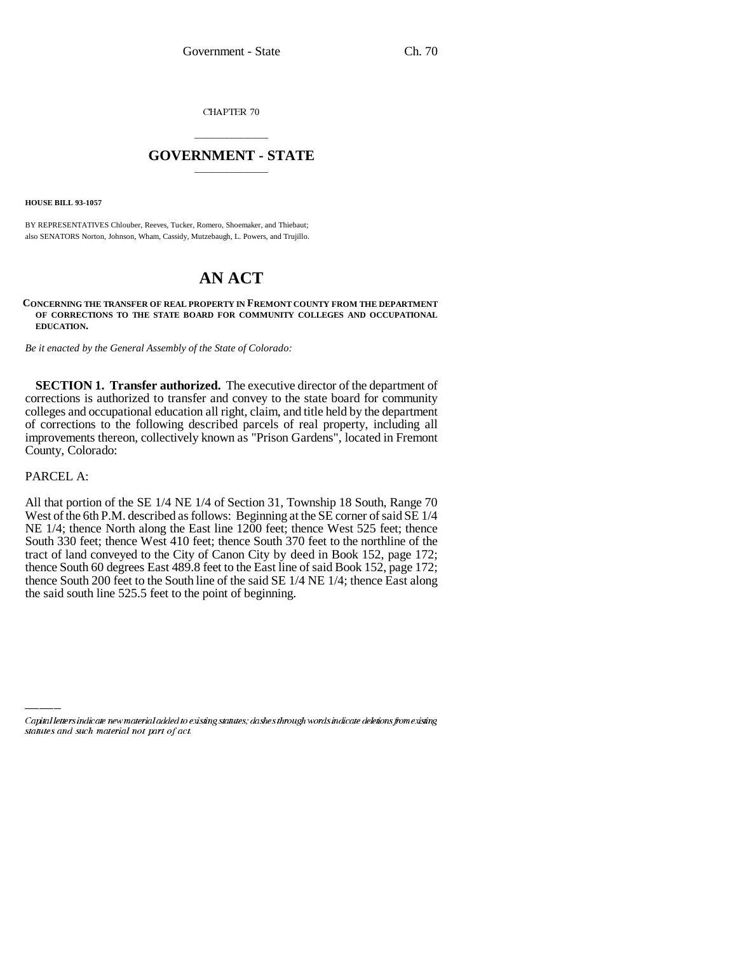CHAPTER 70

## \_\_\_\_\_\_\_\_\_\_\_\_\_\_\_ **GOVERNMENT - STATE** \_\_\_\_\_\_\_\_\_\_\_\_\_\_\_

**HOUSE BILL 93-1057**

BY REPRESENTATIVES Chlouber, Reeves, Tucker, Romero, Shoemaker, and Thiebaut; also SENATORS Norton, Johnson, Wham, Cassidy, Mutzebaugh, L. Powers, and Trujillo.

# **AN ACT**

#### **CONCERNING THE TRANSFER OF REAL PROPERTY IN FREMONT COUNTY FROM THE DEPARTMENT OF CORRECTIONS TO THE STATE BOARD FOR COMMUNITY COLLEGES AND OCCUPATIONAL EDUCATION.**

*Be it enacted by the General Assembly of the State of Colorado:*

**SECTION 1. Transfer authorized.** The executive director of the department of corrections is authorized to transfer and convey to the state board for community colleges and occupational education all right, claim, and title held by the department of corrections to the following described parcels of real property, including all improvements thereon, collectively known as "Prison Gardens", located in Fremont County, Colorado:

### PARCEL A:

All that portion of the SE 1/4 NE 1/4 of Section 31, Township 18 South, Range 70 West of the 6th P.M. described as follows: Beginning at the SE corner of said SE 1/4 NE 1/4; thence North along the East line 1200 feet; thence West 525 feet; thence South 330 feet; thence West 410 feet; thence South 370 feet to the northline of the tract of land conveyed to the City of Canon City by deed in Book 152, page 172; thence South 60 degrees East 489.8 feet to the East line of said Book 152, page 172; thence South 200 feet to the South line of the said SE 1/4 NE 1/4; thence East along the said south line 525.5 feet to the point of beginning.

Capital letters indicate new material added to existing statutes; dashes through words indicate deletions from existing statutes and such material not part of act.